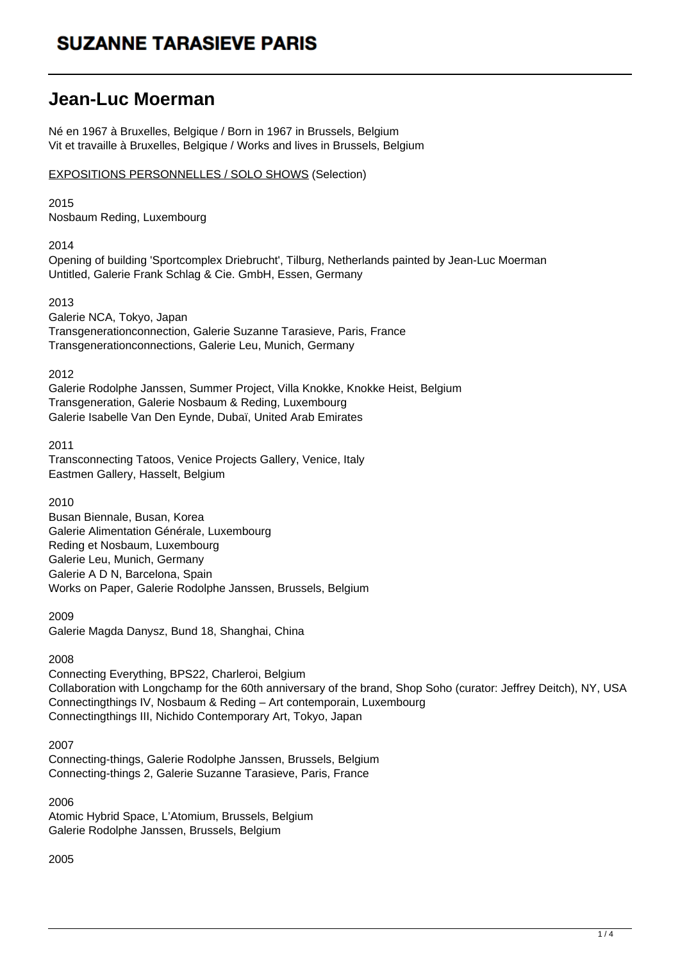### **Jean-Luc Moerman**

Né en 1967 à Bruxelles, Belgique / Born in 1967 in Brussels, Belgium Vit et travaille à Bruxelles, Belgique / Works and lives in Brussels, Belgium

EXPOSITIONS PERSONNELLES / SOLO SHOWS (Selection)

2015

Nosbaum Reding, Luxembourg

2014

Opening of building 'Sportcomplex Driebrucht', Tilburg, Netherlands painted by Jean-Luc Moerman Untitled, Galerie Frank Schlag & Cie. GmbH, Essen, Germany

### 2013

Galerie NCA, Tokyo, Japan Transgenerationconnection, Galerie Suzanne Tarasieve, Paris, France Transgenerationconnections, Galerie Leu, Munich, Germany

2012

Galerie Rodolphe Janssen, Summer Project, Villa Knokke, Knokke Heist, Belgium Transgeneration, Galerie Nosbaum & Reding, Luxembourg Galerie Isabelle Van Den Eynde, Dubaï, United Arab Emirates

2011

Transconnecting Tatoos, Venice Projects Gallery, Venice, Italy Eastmen Gallery, Hasselt, Belgium

2010

Busan Biennale, Busan, Korea Galerie Alimentation Générale, Luxembourg Reding et Nosbaum, Luxembourg Galerie Leu, Munich, Germany Galerie A D N, Barcelona, Spain Works on Paper, Galerie Rodolphe Janssen, Brussels, Belgium

2009

Galerie Magda Danysz, Bund 18, Shanghai, China

### 2008

Connecting Everything, BPS22, Charleroi, Belgium Collaboration with Longchamp for the 60th anniversary of the brand, Shop Soho (curator: Jeffrey Deitch), NY, USA Connectingthings IV, Nosbaum & Reding – Art contemporain, Luxembourg Connectingthings III, Nichido Contemporary Art, Tokyo, Japan

2007

Connecting-things, Galerie Rodolphe Janssen, Brussels, Belgium Connecting-things 2, Galerie Suzanne Tarasieve, Paris, France

2006 Atomic Hybrid Space, L'Atomium, Brussels, Belgium Galerie Rodolphe Janssen, Brussels, Belgium

2005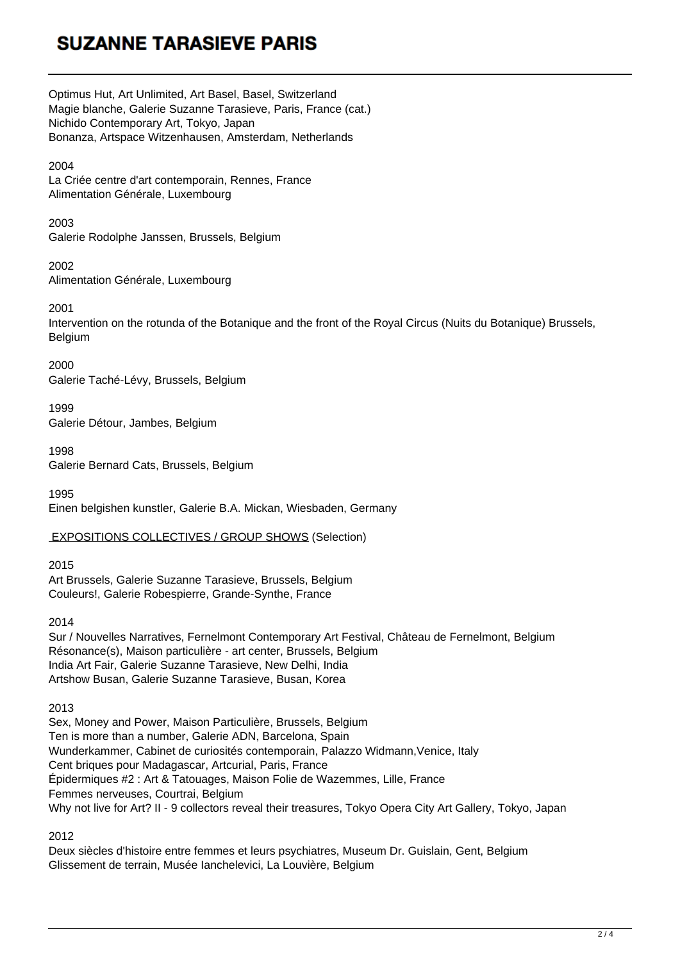Optimus Hut, Art Unlimited, Art Basel, Basel, Switzerland Magie blanche, Galerie Suzanne Tarasieve, Paris, France (cat.) Nichido Contemporary Art, Tokyo, Japan Bonanza, Artspace Witzenhausen, Amsterdam, Netherlands

### 2004

La Criée centre d'art contemporain, Rennes, France Alimentation Générale, Luxembourg

#### 2003

Galerie Rodolphe Janssen, Brussels, Belgium

2002 Alimentation Générale, Luxembourg

2001

Intervention on the rotunda of the Botanique and the front of the Royal Circus (Nuits du Botanique) Brussels, Belgium

2000 Galerie Taché-Lévy, Brussels, Belgium

1999 Galerie Détour, Jambes, Belgium

1998 Galerie Bernard Cats, Brussels, Belgium

1995 Einen belgishen kunstler, Galerie B.A. Mickan, Wiesbaden, Germany

### EXPOSITIONS COLLECTIVES / GROUP SHOWS (Selection)

2015 Art Brussels, Galerie Suzanne Tarasieve, Brussels, Belgium Couleurs!, Galerie Robespierre, Grande-Synthe, France

2014

Sur / Nouvelles Narratives, Fernelmont Contemporary Art Festival, Château de Fernelmont, Belgium Résonance(s), Maison particulière - art center, Brussels, Belgium India Art Fair, Galerie Suzanne Tarasieve, New Delhi, India Artshow Busan, Galerie Suzanne Tarasieve, Busan, Korea

### 2013

Sex, Money and Power, Maison Particulière, Brussels, Belgium Ten is more than a number, Galerie ADN, Barcelona, Spain Wunderkammer, Cabinet de curiosités contemporain, Palazzo Widmann,Venice, Italy Cent briques pour Madagascar, Artcurial, Paris, France Épidermiques #2 : Art & Tatouages, Maison Folie de Wazemmes, Lille, France Femmes nerveuses, Courtrai, Belgium Why not live for Art? II - 9 collectors reveal their treasures, Tokyo Opera City Art Gallery, Tokyo, Japan

2012

Deux siècles d'histoire entre femmes et leurs psychiatres, Museum Dr. Guislain, Gent, Belgium Glissement de terrain, Musée Ianchelevici, La Louvière, Belgium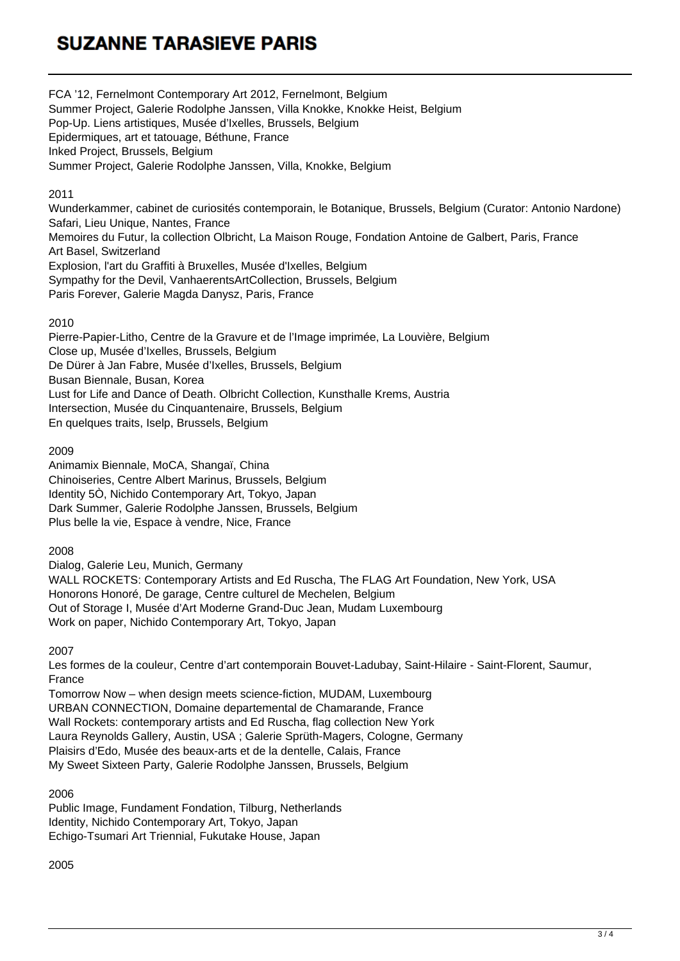FCA '12, Fernelmont Contemporary Art 2012, Fernelmont, Belgium Summer Project, Galerie Rodolphe Janssen, Villa Knokke, Knokke Heist, Belgium Pop-Up. Liens artistiques, Musée d'Ixelles, Brussels, Belgium Epidermiques, art et tatouage, Béthune, France Inked Project, Brussels, Belgium Summer Project, Galerie Rodolphe Janssen, Villa, Knokke, Belgium

### 2011

Wunderkammer, cabinet de curiosités contemporain, le Botanique, Brussels, Belgium (Curator: Antonio Nardone) Safari, Lieu Unique, Nantes, France Memoires du Futur, la collection Olbricht, La Maison Rouge, Fondation Antoine de Galbert, Paris, France Art Basel, Switzerland Explosion, l'art du Graffiti à Bruxelles, Musée d'Ixelles, Belgium Sympathy for the Devil, VanhaerentsArtCollection, Brussels, Belgium Paris Forever, Galerie Magda Danysz, Paris, France

### 2010

Pierre-Papier-Litho, Centre de la Gravure et de l'Image imprimée, La Louvière, Belgium Close up, Musée d'Ixelles, Brussels, Belgium De Dürer à Jan Fabre, Musée d'Ixelles, Brussels, Belgium Busan Biennale, Busan, Korea Lust for Life and Dance of Death. Olbricht Collection, Kunsthalle Krems, Austria Intersection, Musée du Cinquantenaire, Brussels, Belgium En quelques traits, Iselp, Brussels, Belgium

2009

Animamix Biennale, MoCA, Shangaï, China Chinoiseries, Centre Albert Marinus, Brussels, Belgium Identity 5Ò, Nichido Contemporary Art, Tokyo, Japan Dark Summer, Galerie Rodolphe Janssen, Brussels, Belgium Plus belle la vie, Espace à vendre, Nice, France

2008

Dialog, Galerie Leu, Munich, Germany

WALL ROCKETS: Contemporary Artists and Ed Ruscha, The FLAG Art Foundation, New York, USA Honorons Honoré, De garage, Centre culturel de Mechelen, Belgium Out of Storage I, Musée d'Art Moderne Grand-Duc Jean, Mudam Luxembourg Work on paper, Nichido Contemporary Art, Tokyo, Japan

2007

Les formes de la couleur, Centre d'art contemporain Bouvet-Ladubay, Saint-Hilaire - Saint-Florent, Saumur, France

Tomorrow Now – when design meets science-fiction, MUDAM, Luxembourg URBAN CONNECTION, Domaine departemental de Chamarande, France Wall Rockets: contemporary artists and Ed Ruscha, flag collection New York Laura Reynolds Gallery, Austin, USA ; Galerie Sprüth-Magers, Cologne, Germany Plaisirs d'Edo, Musée des beaux-arts et de la dentelle, Calais, France My Sweet Sixteen Party, Galerie Rodolphe Janssen, Brussels, Belgium

2006

Public Image, Fundament Fondation, Tilburg, Netherlands Identity, Nichido Contemporary Art, Tokyo, Japan Echigo-Tsumari Art Triennial, Fukutake House, Japan

2005